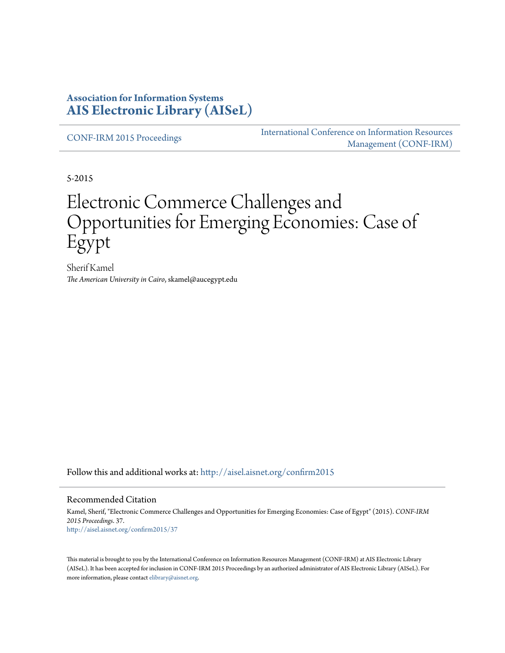#### **Association for Information Systems [AIS Electronic Library \(AISeL\)](http://aisel.aisnet.org?utm_source=aisel.aisnet.org%2Fconfirm2015%2F37&utm_medium=PDF&utm_campaign=PDFCoverPages)**

[CONF-IRM 2015 Proceedings](http://aisel.aisnet.org/confirm2015?utm_source=aisel.aisnet.org%2Fconfirm2015%2F37&utm_medium=PDF&utm_campaign=PDFCoverPages)

[International Conference on Information Resources](http://aisel.aisnet.org/conf-irm?utm_source=aisel.aisnet.org%2Fconfirm2015%2F37&utm_medium=PDF&utm_campaign=PDFCoverPages) [Management \(CONF-IRM\)](http://aisel.aisnet.org/conf-irm?utm_source=aisel.aisnet.org%2Fconfirm2015%2F37&utm_medium=PDF&utm_campaign=PDFCoverPages)

5-2015

# Electronic Commerce Challenges and Opportunities for Emerging Economies: Case of Egypt

Sherif Kamel *The American University in Cairo*, skamel@aucegypt.edu

Follow this and additional works at: [http://aisel.aisnet.org/confirm2015](http://aisel.aisnet.org/confirm2015?utm_source=aisel.aisnet.org%2Fconfirm2015%2F37&utm_medium=PDF&utm_campaign=PDFCoverPages)

#### Recommended Citation

Kamel, Sherif, "Electronic Commerce Challenges and Opportunities for Emerging Economies: Case of Egypt" (2015). *CONF-IRM 2015 Proceedings*. 37. [http://aisel.aisnet.org/confirm2015/37](http://aisel.aisnet.org/confirm2015/37?utm_source=aisel.aisnet.org%2Fconfirm2015%2F37&utm_medium=PDF&utm_campaign=PDFCoverPages)

This material is brought to you by the International Conference on Information Resources Management (CONF-IRM) at AIS Electronic Library (AISeL). It has been accepted for inclusion in CONF-IRM 2015 Proceedings by an authorized administrator of AIS Electronic Library (AISeL). For more information, please contact [elibrary@aisnet.org.](mailto:elibrary@aisnet.org%3E)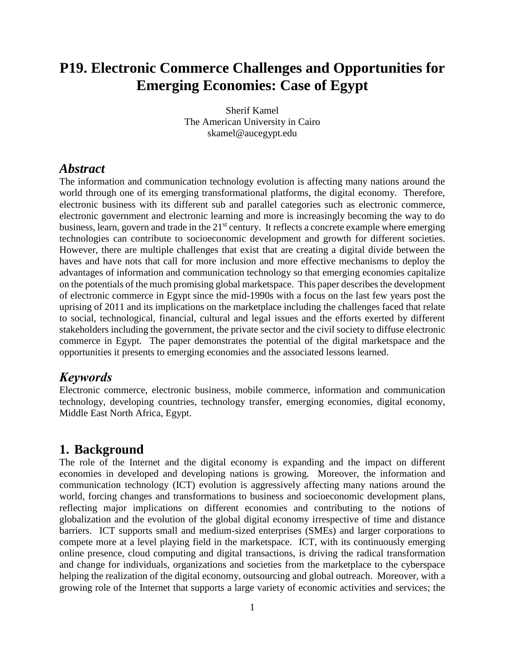# **P19. Electronic Commerce Challenges and Opportunities for Emerging Economies: Case of Egypt**

Sherif Kamel The American University in Cairo skamel@aucegypt.edu

#### *Abstract*

The information and communication technology evolution is affecting many nations around the world through one of its emerging transformational platforms, the digital economy. Therefore, electronic business with its different sub and parallel categories such as electronic commerce, electronic government and electronic learning and more is increasingly becoming the way to do business, learn, govern and trade in the  $21<sup>st</sup>$  century. It reflects a concrete example where emerging technologies can contribute to socioeconomic development and growth for different societies. However, there are multiple challenges that exist that are creating a digital divide between the haves and have nots that call for more inclusion and more effective mechanisms to deploy the advantages of information and communication technology so that emerging economies capitalize on the potentials of the much promising global marketspace. This paper describes the development of electronic commerce in Egypt since the mid-1990s with a focus on the last few years post the uprising of 2011 and its implications on the marketplace including the challenges faced that relate to social, technological, financial, cultural and legal issues and the efforts exerted by different stakeholders including the government, the private sector and the civil society to diffuse electronic commerce in Egypt. The paper demonstrates the potential of the digital marketspace and the opportunities it presents to emerging economies and the associated lessons learned.

### *Keywords*

Electronic commerce, electronic business, mobile commerce, information and communication technology, developing countries, technology transfer, emerging economies, digital economy, Middle East North Africa, Egypt.

#### **1. Background**

The role of the Internet and the digital economy is expanding and the impact on different economies in developed and developing nations is growing. Moreover, the information and communication technology (ICT) evolution is aggressively affecting many nations around the world, forcing changes and transformations to business and socioeconomic development plans, reflecting major implications on different economies and contributing to the notions of globalization and the evolution of the global digital economy irrespective of time and distance barriers. ICT supports small and medium-sized enterprises (SMEs) and larger corporations to compete more at a level playing field in the marketspace. ICT, with its continuously emerging online presence, cloud computing and digital transactions, is driving the radical transformation and change for individuals, organizations and societies from the marketplace to the cyberspace helping the realization of the digital economy, outsourcing and global outreach. Moreover, with a growing role of the Internet that supports a large variety of economic activities and services; the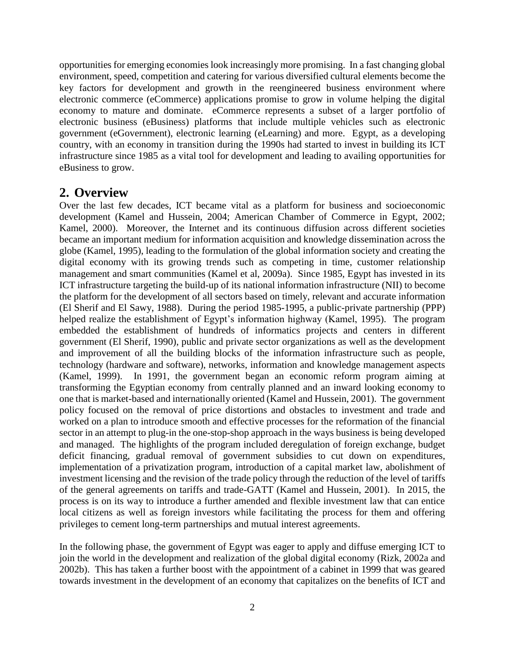opportunities for emerging economies look increasingly more promising. In a fast changing global environment, speed, competition and catering for various diversified cultural elements become the key factors for development and growth in the reengineered business environment where electronic commerce (eCommerce) applications promise to grow in volume helping the digital economy to mature and dominate. eCommerce represents a subset of a larger portfolio of electronic business (eBusiness) platforms that include multiple vehicles such as electronic government (eGovernment), electronic learning (eLearning) and more. Egypt, as a developing country, with an economy in transition during the 1990s had started to invest in building its ICT infrastructure since 1985 as a vital tool for development and leading to availing opportunities for eBusiness to grow.

#### **2. Overview**

Over the last few decades, ICT became vital as a platform for business and socioeconomic development (Kamel and Hussein, 2004; American Chamber of Commerce in Egypt, 2002; Kamel, 2000). Moreover, the Internet and its continuous diffusion across different societies became an important medium for information acquisition and knowledge dissemination across the globe (Kamel, 1995), leading to the formulation of the global information society and creating the digital economy with its growing trends such as competing in time, customer relationship management and smart communities (Kamel et al, 2009a). Since 1985, Egypt has invested in its ICT infrastructure targeting the build-up of its national information infrastructure (NII) to become the platform for the development of all sectors based on timely, relevant and accurate information (El Sherif and El Sawy, 1988). During the period 1985-1995, a public-private partnership (PPP) helped realize the establishment of Egypt's information highway (Kamel, 1995). The program embedded the establishment of hundreds of informatics projects and centers in different government (El Sherif, 1990), public and private sector organizations as well as the development and improvement of all the building blocks of the information infrastructure such as people, technology (hardware and software), networks, information and knowledge management aspects (Kamel, 1999). In 1991, the government began an economic reform program aiming at transforming the Egyptian economy from centrally planned and an inward looking economy to one that is market-based and internationally oriented (Kamel and Hussein, 2001). The government policy focused on the removal of price distortions and obstacles to investment and trade and worked on a plan to introduce smooth and effective processes for the reformation of the financial sector in an attempt to plug-in the one-stop-shop approach in the ways business is being developed and managed. The highlights of the program included deregulation of foreign exchange, budget deficit financing, gradual removal of government subsidies to cut down on expenditures, implementation of a privatization program, introduction of a capital market law, abolishment of investment licensing and the revision of the trade policy through the reduction of the level of tariffs of the general agreements on tariffs and trade-GATT (Kamel and Hussein, 2001). In 2015, the process is on its way to introduce a further amended and flexible investment law that can entice local citizens as well as foreign investors while facilitating the process for them and offering privileges to cement long-term partnerships and mutual interest agreements.

In the following phase, the government of Egypt was eager to apply and diffuse emerging ICT to join the world in the development and realization of the global digital economy (Rizk, 2002a and 2002b). This has taken a further boost with the appointment of a cabinet in 1999 that was geared towards investment in the development of an economy that capitalizes on the benefits of ICT and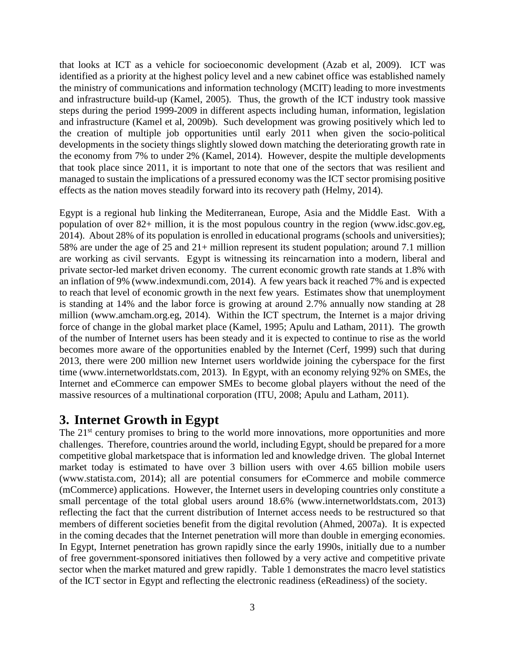that looks at ICT as a vehicle for socioeconomic development (Azab et al, 2009). ICT was identified as a priority at the highest policy level and a new cabinet office was established namely the ministry of communications and information technology (MCIT) leading to more investments and infrastructure build-up (Kamel, 2005). Thus, the growth of the ICT industry took massive steps during the period 1999-2009 in different aspects including human, information, legislation and infrastructure (Kamel et al, 2009b). Such development was growing positively which led to the creation of multiple job opportunities until early 2011 when given the socio-political developments in the society things slightly slowed down matching the deteriorating growth rate in the economy from 7% to under 2% (Kamel, 2014). However, despite the multiple developments that took place since 2011, it is important to note that one of the sectors that was resilient and managed to sustain the implications of a pressured economy was the ICT sector promising positive effects as the nation moves steadily forward into its recovery path (Helmy, 2014).

Egypt is a regional hub linking the Mediterranean, Europe, Asia and the Middle East. With a population of over 82+ million, it is the most populous country in the region (www.idsc.gov.eg, 2014). About 28% of its population is enrolled in educational programs (schools and universities); 58% are under the age of 25 and 21+ million represent its student population; around 7.1 million are working as civil servants. Egypt is witnessing its reincarnation into a modern, liberal and private sector-led market driven economy. The current economic growth rate stands at 1.8% with an inflation of 9% (www.indexmundi.com, 2014). A few years back it reached 7% and is expected to reach that level of economic growth in the next few years. Estimates show that unemployment is standing at 14% and the labor force is growing at around 2.7% annually now standing at 28 million (www.amcham.org.eg, 2014). Within the ICT spectrum, the Internet is a major driving force of change in the global market place (Kamel, 1995; Apulu and Latham, 2011). The growth of the number of Internet users has been steady and it is expected to continue to rise as the world becomes more aware of the opportunities enabled by the Internet (Cerf, 1999) such that during 2013, there were 200 million new Internet users worldwide joining the cyberspace for the first time (www.internetworldstats.com, 2013). In Egypt, with an economy relying 92% on SMEs, the Internet and eCommerce can empower SMEs to become global players without the need of the massive resources of a multinational corporation (ITU, 2008; Apulu and Latham, 2011).

# **3. Internet Growth in Egypt**

The 21<sup>st</sup> century promises to bring to the world more innovations, more opportunities and more challenges. Therefore, countries around the world, including Egypt, should be prepared for a more competitive global marketspace that is information led and knowledge driven. The global Internet market today is estimated to have over 3 billion users with over 4.65 billion mobile users (www.statista.com, 2014); all are potential consumers for eCommerce and mobile commerce (mCommerce) applications. However, the Internet users in developing countries only constitute a small percentage of the total global users around 18.6% (www.internetworldstats.com, 2013) reflecting the fact that the current distribution of Internet access needs to be restructured so that members of different societies benefit from the digital revolution (Ahmed, 2007a). It is expected in the coming decades that the Internet penetration will more than double in emerging economies. In Egypt, Internet penetration has grown rapidly since the early 1990s, initially due to a number of free government-sponsored initiatives then followed by a very active and competitive private sector when the market matured and grew rapidly. Table 1 demonstrates the macro level statistics of the ICT sector in Egypt and reflecting the electronic readiness (eReadiness) of the society.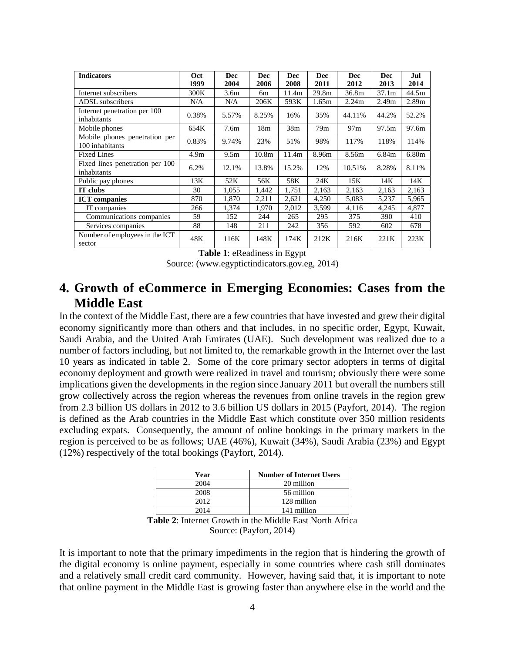| <b>Indicators</b>                                | Oct<br>1999      | <b>Dec</b><br>2004 | <b>Dec</b><br>2006 | Dec<br>2008     | <b>Dec</b><br>2011 | <b>Dec</b><br>2012 | <b>Dec</b><br>2013 | Jul<br>2014       |
|--------------------------------------------------|------------------|--------------------|--------------------|-----------------|--------------------|--------------------|--------------------|-------------------|
| Internet subscribers                             | 300K             | 3.6 <sub>m</sub>   | 6m                 | 11.4m           | 29.8m              | 36.8m              | 37.1 <sub>m</sub>  | 44.5m             |
| ADSL subscribers                                 | N/A              | N/A                | 206K               | 593K            | 1.65m              | 2.24m              | 2.49 <sub>m</sub>  | 2.89 <sub>m</sub> |
| Internet penetration per 100<br>inhabitants      | 0.38%            | 5.57%              | 8.25%              | 16%             | 35%                | 44.11%             | 44.2%              | 52.2%             |
| Mobile phones                                    | 654K             | 7.6 <sub>m</sub>   | 18 <sub>m</sub>    | 38 <sub>m</sub> | 79m                | 97m                | 97.5m              | 97.6m             |
| Mobile phones penetration per<br>100 inhabitants | 0.83%            | 9.74%              | 23%                | 51%             | 98%                | 117%               | 118%               | 114%              |
| <b>Fixed Lines</b>                               | 4.9 <sub>m</sub> | 9.5 <sub>m</sub>   | 10.8 <sub>m</sub>  | 11.4m           | 8.96m              | 8.56m              | 6.84m              | 6.80 <sub>m</sub> |
| Fixed lines penetration per 100<br>inhabitants   | 6.2%             | 12.1%              | 13.8%              | 15.2%           | 12%                | 10.51%             | 8.28%              | 8.11%             |
| Public pay phones                                | 13K              | 52K                | 56K                | 58K             | 24K                | 15K                | 14K                | 14K               |
| IT clubs                                         | 30               | 1,055              | 1,442              | 1,751           | 2,163              | 2,163              | 2,163              | 2,163             |
| <b>ICT</b> companies                             | 870              | 1,870              | 2,211              | 2,621           | 4,250              | 5,083              | 5,237              | 5,965             |
| IT companies                                     | 266              | 1,374              | 1.970              | 2,012           | 3,599              | 4,116              | 4,245              | 4,877             |
| Communications companies                         | 59               | 152                | 244                | 265             | 295                | 375                | 390                | 410               |
| Services companies                               | 88               | 148                | 211                | 242             | 356                | 592                | 602                | 678               |
| Number of employees in the ICT<br>sector         | 48K              | 116K               | 148K               | 174K            | 212K               | 216K               | 221K               | 223K              |

**Table 1**: eReadiness in Egypt

Source: (www.egyptictindicators.gov.eg, 2014)

### **4. Growth of eCommerce in Emerging Economies: Cases from the Middle East**

In the context of the Middle East, there are a few countries that have invested and grew their digital economy significantly more than others and that includes, in no specific order, Egypt, Kuwait, Saudi Arabia, and the United Arab Emirates (UAE). Such development was realized due to a number of factors including, but not limited to, the remarkable growth in the Internet over the last 10 years as indicated in table 2. Some of the core primary sector adopters in terms of digital economy deployment and growth were realized in travel and tourism; obviously there were some implications given the developments in the region since January 2011 but overall the numbers still grow collectively across the region whereas the revenues from online travels in the region grew from 2.3 billion US dollars in 2012 to 3.6 billion US dollars in 2015 (Payfort, 2014). The region is defined as the Arab countries in the Middle East which constitute over 350 million residents excluding expats. Consequently, the amount of online bookings in the primary markets in the region is perceived to be as follows; UAE (46%), Kuwait (34%), Saudi Arabia (23%) and Egypt (12%) respectively of the total bookings (Payfort, 2014).

| Year | <b>Number of Internet Users</b> |
|------|---------------------------------|
| 2004 | 20 million                      |
| 2008 | 56 million                      |
| 2012 | 128 million                     |
| 2014 | 141 million                     |

**Table 2**: Internet Growth in the Middle East North Africa Source: (Payfort, 2014)

It is important to note that the primary impediments in the region that is hindering the growth of the digital economy is online payment, especially in some countries where cash still dominates and a relatively small credit card community. However, having said that, it is important to note that online payment in the Middle East is growing faster than anywhere else in the world and the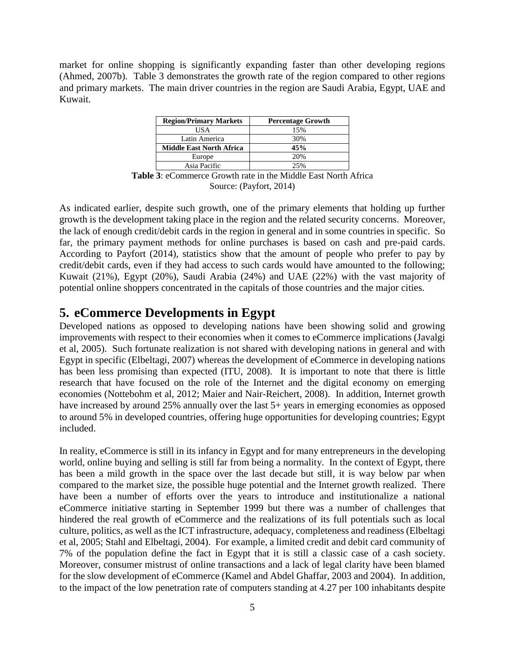market for online shopping is significantly expanding faster than other developing regions (Ahmed, 2007b). Table 3 demonstrates the growth rate of the region compared to other regions and primary markets. The main driver countries in the region are Saudi Arabia, Egypt, UAE and Kuwait.

| <b>Region/Primary Markets</b>   | <b>Percentage Growth</b> |
|---------------------------------|--------------------------|
| US A                            | 15%                      |
| Latin America                   | 30%                      |
| <b>Middle East North Africa</b> | 45%                      |
| Europe                          | 20%                      |
| Asia Pacific                    | 25%                      |

**Table 3**: eCommerce Growth rate in the Middle East North Africa Source: (Payfort, 2014)

As indicated earlier, despite such growth, one of the primary elements that holding up further growth is the development taking place in the region and the related security concerns. Moreover, the lack of enough credit/debit cards in the region in general and in some countries in specific. So far, the primary payment methods for online purchases is based on cash and pre-paid cards. According to Payfort (2014), statistics show that the amount of people who prefer to pay by credit/debit cards, even if they had access to such cards would have amounted to the following; Kuwait (21%), Egypt (20%), Saudi Arabia (24%) and UAE (22%) with the vast majority of potential online shoppers concentrated in the capitals of those countries and the major cities.

### **5. eCommerce Developments in Egypt**

Developed nations as opposed to developing nations have been showing solid and growing improvements with respect to their economies when it comes to eCommerce implications (Javalgi et al, 2005). Such fortunate realization is not shared with developing nations in general and with Egypt in specific (Elbeltagi, 2007) whereas the development of eCommerce in developing nations has been less promising than expected (ITU, 2008). It is important to note that there is little research that have focused on the role of the Internet and the digital economy on emerging economies (Nottebohm et al, 2012; Maier and Nair-Reichert, 2008). In addition, Internet growth have increased by around 25% annually over the last 5+ years in emerging economies as opposed to around 5% in developed countries, offering huge opportunities for developing countries; Egypt included.

In reality, eCommerce is still in its infancy in Egypt and for many entrepreneurs in the developing world, online buying and selling is still far from being a normality. In the context of Egypt, there has been a mild growth in the space over the last decade but still, it is way below par when compared to the market size, the possible huge potential and the Internet growth realized. There have been a number of efforts over the years to introduce and institutionalize a national eCommerce initiative starting in September 1999 but there was a number of challenges that hindered the real growth of eCommerce and the realizations of its full potentials such as local culture, politics, as well as the ICT infrastructure, adequacy, completeness and readiness (Elbeltagi et al, 2005; Stahl and Elbeltagi, 2004). For example, a limited credit and debit card community of 7% of the population define the fact in Egypt that it is still a classic case of a cash society. Moreover, consumer mistrust of online transactions and a lack of legal clarity have been blamed for the slow development of eCommerce (Kamel and Abdel Ghaffar, 2003 and 2004). In addition, to the impact of the low penetration rate of computers standing at 4.27 per 100 inhabitants despite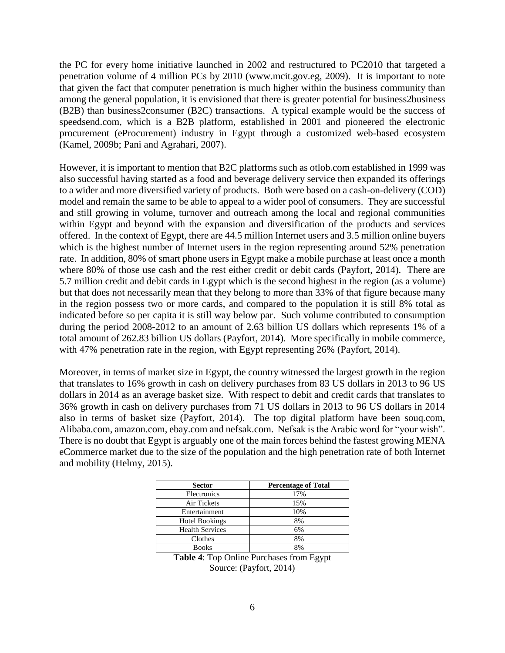the PC for every home initiative launched in 2002 and restructured to PC2010 that targeted a penetration volume of 4 million PCs by 2010 (www.mcit.gov.eg, 2009). It is important to note that given the fact that computer penetration is much higher within the business community than among the general population, it is envisioned that there is greater potential for business2business (B2B) than business2consumer (B2C) transactions. A typical example would be the success of speedsend.com, which is a B2B platform, established in 2001 and pioneered the electronic procurement (eProcurement) industry in Egypt through a customized web-based ecosystem (Kamel, 2009b; Pani and Agrahari, 2007).

However, it is important to mention that B2C platforms such as otlob.com established in 1999 was also successful having started as a food and beverage delivery service then expanded its offerings to a wider and more diversified variety of products. Both were based on a cash-on-delivery (COD) model and remain the same to be able to appeal to a wider pool of consumers. They are successful and still growing in volume, turnover and outreach among the local and regional communities within Egypt and beyond with the expansion and diversification of the products and services offered. In the context of Egypt, there are 44.5 million Internet users and 3.5 million online buyers which is the highest number of Internet users in the region representing around 52% penetration rate. In addition, 80% of smart phone users in Egypt make a mobile purchase at least once a month where 80% of those use cash and the rest either credit or debit cards (Payfort, 2014). There are 5.7 million credit and debit cards in Egypt which is the second highest in the region (as a volume) but that does not necessarily mean that they belong to more than 33% of that figure because many in the region possess two or more cards, and compared to the population it is still 8% total as indicated before so per capita it is still way below par. Such volume contributed to consumption during the period 2008-2012 to an amount of 2.63 billion US dollars which represents 1% of a total amount of 262.83 billion US dollars (Payfort, 2014). More specifically in mobile commerce, with 47% penetration rate in the region, with Egypt representing 26% (Payfort, 2014).

Moreover, in terms of market size in Egypt, the country witnessed the largest growth in the region that translates to 16% growth in cash on delivery purchases from 83 US dollars in 2013 to 96 US dollars in 2014 as an average basket size. With respect to debit and credit cards that translates to 36% growth in cash on delivery purchases from 71 US dollars in 2013 to 96 US dollars in 2014 also in terms of basket size (Payfort, 2014). The top digital platform have been souq.com, Alibaba.com, amazon.com, ebay.com and nefsak.com. Nefsak is the Arabic word for "your wish". There is no doubt that Egypt is arguably one of the main forces behind the fastest growing MENA eCommerce market due to the size of the population and the high penetration rate of both Internet and mobility (Helmy, 2015).

| <b>Sector</b>          | <b>Percentage of Total</b> |
|------------------------|----------------------------|
| Electronics            | 17%                        |
| Air Tickets            | 15%                        |
| Entertainment          | 10%                        |
| <b>Hotel Bookings</b>  | 8%                         |
| <b>Health Services</b> | 6%                         |
| Clothes                | 8%                         |
| <b>Books</b>           | 8%                         |

**Table 4**: Top Online Purchases from Egypt Source: (Payfort, 2014)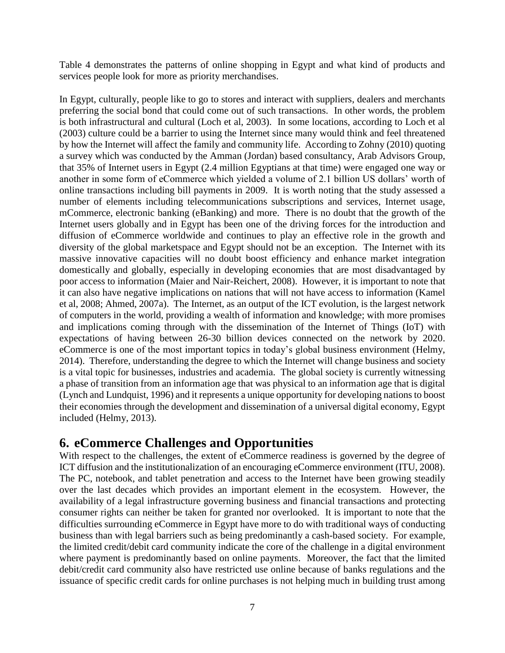Table 4 demonstrates the patterns of online shopping in Egypt and what kind of products and services people look for more as priority merchandises.

In Egypt, culturally, people like to go to stores and interact with suppliers, dealers and merchants preferring the social bond that could come out of such transactions. In other words, the problem is both infrastructural and cultural (Loch et al, 2003). In some locations, according to Loch et al (2003) culture could be a barrier to using the Internet since many would think and feel threatened by how the Internet will affect the family and community life. According to Zohny (2010) quoting a survey which was conducted by the Amman (Jordan) based consultancy, Arab Advisors Group, that 35% of Internet users in Egypt (2.4 million Egyptians at that time) were engaged one way or another in some form of eCommerce which yielded a volume of 2.1 billion US dollars' worth of online transactions including bill payments in 2009. It is worth noting that the study assessed a number of elements including telecommunications subscriptions and services, Internet usage, mCommerce, electronic banking (eBanking) and more. There is no doubt that the growth of the Internet users globally and in Egypt has been one of the driving forces for the introduction and diffusion of eCommerce worldwide and continues to play an effective role in the growth and diversity of the global marketspace and Egypt should not be an exception. The Internet with its massive innovative capacities will no doubt boost efficiency and enhance market integration domestically and globally, especially in developing economies that are most disadvantaged by poor access to information (Maier and Nair-Reichert, 2008). However, it is important to note that it can also have negative implications on nations that will not have access to information (Kamel et al, 2008; Ahmed, 2007a). The Internet, as an output of the ICT evolution, is the largest network of computers in the world, providing a wealth of information and knowledge; with more promises and implications coming through with the dissemination of the Internet of Things (IoT) with expectations of having between 26-30 billion devices connected on the network by 2020. eCommerce is one of the most important topics in today's global business environment (Helmy, 2014). Therefore, understanding the degree to which the Internet will change business and society is a vital topic for businesses, industries and academia. The global society is currently witnessing a phase of transition from an information age that was physical to an information age that is digital (Lynch and Lundquist, 1996) and it represents a unique opportunity for developing nations to boost their economies through the development and dissemination of a universal digital economy, Egypt included (Helmy, 2013).

#### **6. eCommerce Challenges and Opportunities**

With respect to the challenges, the extent of eCommerce readiness is governed by the degree of ICT diffusion and the institutionalization of an encouraging eCommerce environment (ITU, 2008). The PC, notebook, and tablet penetration and access to the Internet have been growing steadily over the last decades which provides an important element in the ecosystem. However, the availability of a legal infrastructure governing business and financial transactions and protecting consumer rights can neither be taken for granted nor overlooked. It is important to note that the difficulties surrounding eCommerce in Egypt have more to do with traditional ways of conducting business than with legal barriers such as being predominantly a cash-based society. For example, the limited credit/debit card community indicate the core of the challenge in a digital environment where payment is predominantly based on online payments. Moreover, the fact that the limited debit/credit card community also have restricted use online because of banks regulations and the issuance of specific credit cards for online purchases is not helping much in building trust among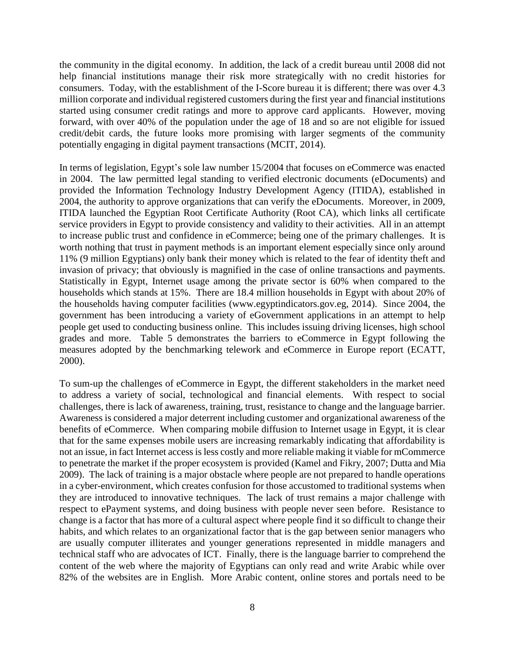the community in the digital economy. In addition, the lack of a credit bureau until 2008 did not help financial institutions manage their risk more strategically with no credit histories for consumers. Today, with the establishment of the I-Score bureau it is different; there was over 4.3 million corporate and individual registered customers during the first year and financial institutions started using consumer credit ratings and more to approve card applicants. However, moving forward, with over 40% of the population under the age of 18 and so are not eligible for issued credit/debit cards, the future looks more promising with larger segments of the community potentially engaging in digital payment transactions (MCIT, 2014).

In terms of legislation, Egypt's sole law number 15/2004 that focuses on eCommerce was enacted in 2004. The law permitted legal standing to verified electronic documents (eDocuments) and provided the Information Technology Industry Development Agency (ITIDA), established in 2004, the authority to approve organizations that can verify the eDocuments. Moreover, in 2009, ITIDA launched the Egyptian Root Certificate Authority (Root CA), which links all certificate service providers in Egypt to provide consistency and validity to their activities. All in an attempt to increase public trust and confidence in eCommerce; being one of the primary challenges. It is worth nothing that trust in payment methods is an important element especially since only around 11% (9 million Egyptians) only bank their money which is related to the fear of identity theft and invasion of privacy; that obviously is magnified in the case of online transactions and payments. Statistically in Egypt, Internet usage among the private sector is 60% when compared to the households which stands at 15%. There are 18.4 million households in Egypt with about 20% of the households having computer facilities (www.egyptindicators.gov.eg, 2014). Since 2004, the government has been introducing a variety of eGovernment applications in an attempt to help people get used to conducting business online. This includes issuing driving licenses, high school grades and more. Table 5 demonstrates the barriers to eCommerce in Egypt following the measures adopted by the benchmarking telework and eCommerce in Europe report (ECATT, 2000).

To sum-up the challenges of eCommerce in Egypt, the different stakeholders in the market need to address a variety of social, technological and financial elements. With respect to social challenges, there is lack of awareness, training, trust, resistance to change and the language barrier. Awareness is considered a major deterrent including customer and organizational awareness of the benefits of eCommerce. When comparing mobile diffusion to Internet usage in Egypt, it is clear that for the same expenses mobile users are increasing remarkably indicating that affordability is not an issue, in fact Internet access is less costly and more reliable making it viable for mCommerce to penetrate the market if the proper ecosystem is provided (Kamel and Fikry, 2007; Dutta and Mia 2009). The lack of training is a major obstacle where people are not prepared to handle operations in a cyber-environment, which creates confusion for those accustomed to traditional systems when they are introduced to innovative techniques. The lack of trust remains a major challenge with respect to ePayment systems, and doing business with people never seen before. Resistance to change is a factor that has more of a cultural aspect where people find it so difficult to change their habits, and which relates to an organizational factor that is the gap between senior managers who are usually computer illiterates and younger generations represented in middle managers and technical staff who are advocates of ICT. Finally, there is the language barrier to comprehend the content of the web where the majority of Egyptians can only read and write Arabic while over 82% of the websites are in English. More Arabic content, online stores and portals need to be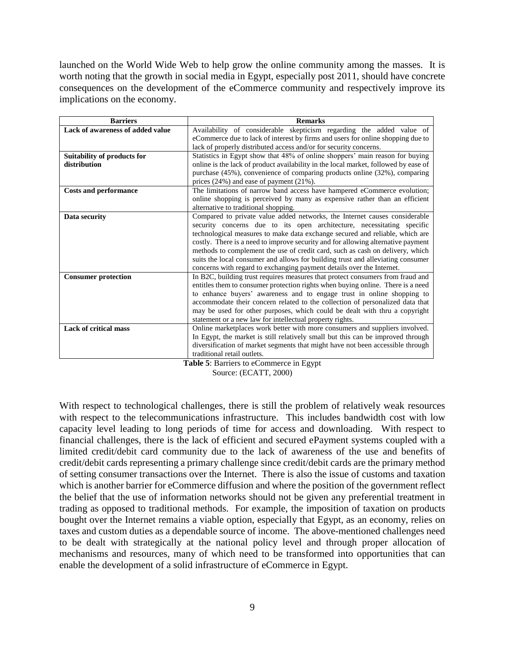launched on the World Wide Web to help grow the online community among the masses. It is worth noting that the growth in social media in Egypt, especially post 2011, should have concrete consequences on the development of the eCommerce community and respectively improve its implications on the economy.

| <b>Barriers</b>                  | <b>Remarks</b>                                                                      |
|----------------------------------|-------------------------------------------------------------------------------------|
| Lack of awareness of added value | Availability of considerable skepticism regarding the added value of                |
|                                  | eCommerce due to lack of interest by firms and users for online shopping due to     |
|                                  | lack of properly distributed access and/or for security concerns.                   |
| Suitability of products for      | Statistics in Egypt show that 48% of online shoppers' main reason for buying        |
| distribution                     | online is the lack of product availability in the local market, followed by ease of |
|                                  | purchase (45%), convenience of comparing products online (32%), comparing           |
|                                  | prices $(24\%)$ and ease of payment $(21\%)$ .                                      |
| <b>Costs and performance</b>     | The limitations of narrow band access have hampered eCommerce evolution;            |
|                                  | online shopping is perceived by many as expensive rather than an efficient          |
|                                  | alternative to traditional shopping.                                                |
| Data security                    | Compared to private value added networks, the Internet causes considerable          |
|                                  | security concerns due to its open architecture, necessitating specific              |
|                                  | technological measures to make data exchange secured and reliable, which are        |
|                                  | costly. There is a need to improve security and for allowing alternative payment    |
|                                  | methods to complement the use of credit card, such as cash on delivery, which       |
|                                  | suits the local consumer and allows for building trust and alleviating consumer     |
|                                  | concerns with regard to exchanging payment details over the Internet.               |
| <b>Consumer protection</b>       | In B2C, building trust requires measures that protect consumers from fraud and      |
|                                  | entitles them to consumer protection rights when buying online. There is a need     |
|                                  | to enhance buyers' awareness and to engage trust in online shopping to              |
|                                  | accommodate their concern related to the collection of personalized data that       |
|                                  | may be used for other purposes, which could be dealt with thru a copyright          |
|                                  | statement or a new law for intellectual property rights.                            |
| <b>Lack of critical mass</b>     | Online marketplaces work better with more consumers and suppliers involved.         |
|                                  | In Egypt, the market is still relatively small but this can be improved through     |
|                                  | diversification of market segments that might have not been accessible through      |
|                                  | traditional retail outlets.                                                         |



Source: (ECATT, 2000)

With respect to technological challenges, there is still the problem of relatively weak resources with respect to the telecommunications infrastructure. This includes bandwidth cost with low capacity level leading to long periods of time for access and downloading. With respect to financial challenges, there is the lack of efficient and secured ePayment systems coupled with a limited credit/debit card community due to the lack of awareness of the use and benefits of credit/debit cards representing a primary challenge since credit/debit cards are the primary method of setting consumer transactions over the Internet. There is also the issue of customs and taxation which is another barrier for eCommerce diffusion and where the position of the government reflect the belief that the use of information networks should not be given any preferential treatment in trading as opposed to traditional methods. For example, the imposition of taxation on products bought over the Internet remains a viable option, especially that Egypt, as an economy, relies on taxes and custom duties as a dependable source of income. The above-mentioned challenges need to be dealt with strategically at the national policy level and through proper allocation of mechanisms and resources, many of which need to be transformed into opportunities that can enable the development of a solid infrastructure of eCommerce in Egypt.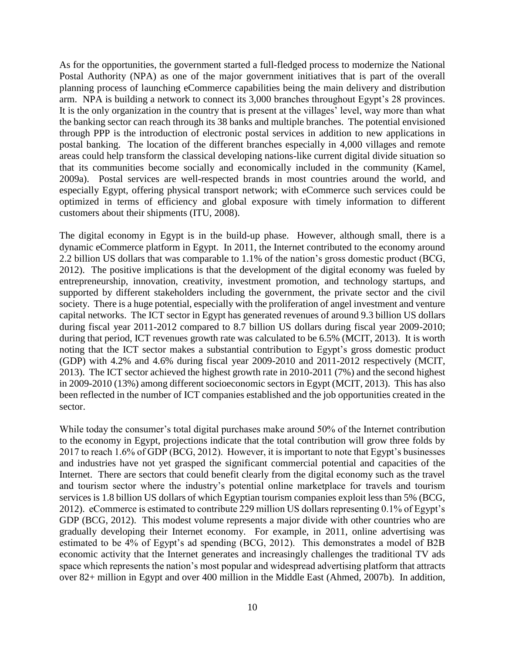As for the opportunities, the government started a full-fledged process to modernize the National Postal Authority (NPA) as one of the major government initiatives that is part of the overall planning process of launching eCommerce capabilities being the main delivery and distribution arm. NPA is building a network to connect its 3,000 branches throughout Egypt's 28 provinces. It is the only organization in the country that is present at the villages' level, way more than what the banking sector can reach through its 38 banks and multiple branches. The potential envisioned through PPP is the introduction of electronic postal services in addition to new applications in postal banking. The location of the different branches especially in 4,000 villages and remote areas could help transform the classical developing nations-like current digital divide situation so that its communities become socially and economically included in the community (Kamel, 2009a). Postal services are well-respected brands in most countries around the world, and especially Egypt, offering physical transport network; with eCommerce such services could be optimized in terms of efficiency and global exposure with timely information to different customers about their shipments (ITU, 2008).

The digital economy in Egypt is in the build-up phase. However, although small, there is a dynamic eCommerce platform in Egypt. In 2011, the Internet contributed to the economy around 2.2 billion US dollars that was comparable to 1.1% of the nation's gross domestic product (BCG, 2012). The positive implications is that the development of the digital economy was fueled by entrepreneurship, innovation, creativity, investment promotion, and technology startups, and supported by different stakeholders including the government, the private sector and the civil society. There is a huge potential, especially with the proliferation of angel investment and venture capital networks. The ICT sector in Egypt has generated revenues of around 9.3 billion US dollars during fiscal year 2011-2012 compared to 8.7 billion US dollars during fiscal year 2009-2010; during that period, ICT revenues growth rate was calculated to be 6.5% (MCIT, 2013). It is worth noting that the ICT sector makes a substantial contribution to Egypt's gross domestic product (GDP) with 4.2% and 4.6% during fiscal year 2009-2010 and 2011-2012 respectively (MCIT, 2013). The ICT sector achieved the highest growth rate in 2010-2011 (7%) and the second highest in 2009-2010 (13%) among different socioeconomic sectors in Egypt (MCIT, 2013). This has also been reflected in the number of ICT companies established and the job opportunities created in the sector.

While today the consumer's total digital purchases make around 50% of the Internet contribution to the economy in Egypt, projections indicate that the total contribution will grow three folds by 2017 to reach 1.6% of GDP (BCG, 2012). However, it is important to note that Egypt's businesses and industries have not yet grasped the significant commercial potential and capacities of the Internet. There are sectors that could benefit clearly from the digital economy such as the travel and tourism sector where the industry's potential online marketplace for travels and tourism services is 1.8 billion US dollars of which Egyptian tourism companies exploit less than 5% (BCG, 2012). eCommerce is estimated to contribute 229 million US dollars representing 0.1% of Egypt's GDP (BCG, 2012). This modest volume represents a major divide with other countries who are gradually developing their Internet economy. For example, in 2011, online advertising was estimated to be 4% of Egypt's ad spending (BCG, 2012). This demonstrates a model of B2B economic activity that the Internet generates and increasingly challenges the traditional TV ads space which represents the nation's most popular and widespread advertising platform that attracts over 82+ million in Egypt and over 400 million in the Middle East (Ahmed, 2007b). In addition,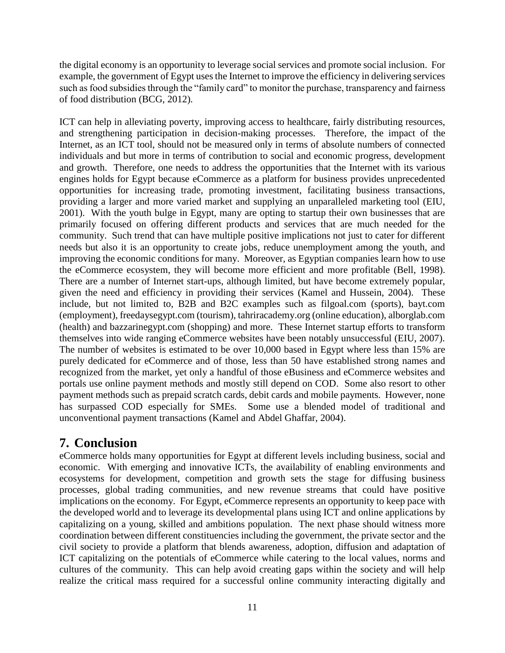the digital economy is an opportunity to leverage social services and promote social inclusion. For example, the government of Egypt uses the Internet to improve the efficiency in delivering services such as food subsidies through the "family card" to monitor the purchase, transparency and fairness of food distribution (BCG, 2012).

ICT can help in alleviating poverty, improving access to healthcare, fairly distributing resources, and strengthening participation in decision-making processes. Therefore, the impact of the Internet, as an ICT tool, should not be measured only in terms of absolute numbers of connected individuals and but more in terms of contribution to social and economic progress, development and growth. Therefore, one needs to address the opportunities that the Internet with its various engines holds for Egypt because eCommerce as a platform for business provides unprecedented opportunities for increasing trade, promoting investment, facilitating business transactions, providing a larger and more varied market and supplying an unparalleled marketing tool (EIU, 2001). With the youth bulge in Egypt, many are opting to startup their own businesses that are primarily focused on offering different products and services that are much needed for the community. Such trend that can have multiple positive implications not just to cater for different needs but also it is an opportunity to create jobs, reduce unemployment among the youth, and improving the economic conditions for many. Moreover, as Egyptian companies learn how to use the eCommerce ecosystem, they will become more efficient and more profitable (Bell, 1998). There are a number of Internet start-ups, although limited, but have become extremely popular, given the need and efficiency in providing their services (Kamel and Hussein, 2004). These include, but not limited to, B2B and B2C examples such as filgoal.com (sports), bayt.com (employment), freedaysegypt.com (tourism), tahriracademy.org (online education), alborglab.com (health) and bazzarinegypt.com (shopping) and more. These Internet startup efforts to transform themselves into wide ranging eCommerce websites have been notably unsuccessful (EIU, 2007). The number of websites is estimated to be over 10,000 based in Egypt where less than 15% are purely dedicated for eCommerce and of those, less than 50 have established strong names and recognized from the market, yet only a handful of those eBusiness and eCommerce websites and portals use online payment methods and mostly still depend on COD. Some also resort to other payment methods such as prepaid scratch cards, debit cards and mobile payments. However, none has surpassed COD especially for SMEs. Some use a blended model of traditional and unconventional payment transactions (Kamel and Abdel Ghaffar, 2004).

# **7. Conclusion**

eCommerce holds many opportunities for Egypt at different levels including business, social and economic. With emerging and innovative ICTs, the availability of enabling environments and ecosystems for development, competition and growth sets the stage for diffusing business processes, global trading communities, and new revenue streams that could have positive implications on the economy. For Egypt, eCommerce represents an opportunity to keep pace with the developed world and to leverage its developmental plans using ICT and online applications by capitalizing on a young, skilled and ambitions population. The next phase should witness more coordination between different constituencies including the government, the private sector and the civil society to provide a platform that blends awareness, adoption, diffusion and adaptation of ICT capitalizing on the potentials of eCommerce while catering to the local values, norms and cultures of the community. This can help avoid creating gaps within the society and will help realize the critical mass required for a successful online community interacting digitally and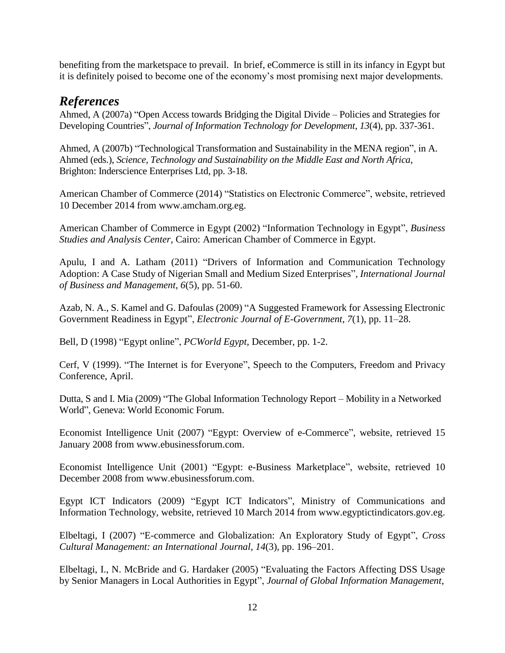benefiting from the marketspace to prevail. In brief, eCommerce is still in its infancy in Egypt but it is definitely poised to become one of the economy's most promising next major developments.

### *References*

Ahmed, A (2007a) "Open Access towards Bridging the Digital Divide – Policies and Strategies for Developing Countries", *Journal of Information Technology for Development*, *13*(4), pp. 337-361.

Ahmed, A (2007b) "Technological Transformation and Sustainability in the MENA region", in A. Ahmed (eds.), *Science, Technology and Sustainability on the Middle East and North Africa,*  Brighton: Inderscience Enterprises Ltd, pp. 3-18.

American Chamber of Commerce (2014) "Statistics on Electronic Commerce", website, retrieved 10 December 2014 from www.amcham.org.eg.

American Chamber of Commerce in Egypt (2002) "Information Technology in Egypt", *Business Studies and Analysis Center,* Cairo: American Chamber of Commerce in Egypt.

Apulu, I and A. Latham (2011) "Drivers of Information and Communication Technology Adoption: A Case Study of Nigerian Small and Medium Sized Enterprises", *International Journal of Business and Management, 6*(5), pp. 51-60.

Azab, N. A., S. Kamel and G. Dafoulas (2009) "A Suggested Framework for Assessing Electronic Government Readiness in Egypt", *Electronic Journal of E-Government*, *7*(1), pp. 11–28.

Bell, D (1998) "Egypt online", *PCWorld Egypt,* December, pp. 1-2.

Cerf, V (1999). "The Internet is for Everyone", Speech to the Computers, Freedom and Privacy Conference, April.

Dutta, S and I. Mia (2009) "The Global Information Technology Report – Mobility in a Networked World", Geneva: World Economic Forum.

Economist Intelligence Unit (2007) "Egypt: Overview of e-Commerce", website, retrieved 15 January 2008 from www.ebusinessforum.com.

Economist Intelligence Unit (2001) "Egypt: e-Business Marketplace", website, retrieved 10 December 2008 from www.ebusinessforum.com.

Egypt ICT Indicators (2009) "Egypt ICT Indicators", Ministry of Communications and Information Technology*,* website, retrieved 10 March 2014 from www.egyptictindicators.gov.eg.

Elbeltagi, I (2007) "E-commerce and Globalization: An Exploratory Study of Egypt", *Cross Cultural Management: an International Journal*, *14*(3), pp. 196–201.

Elbeltagi, I., N. McBride and G. Hardaker (2005) "Evaluating the Factors Affecting DSS Usage by Senior Managers in Local Authorities in Egypt", *Journal of Global Information Management*,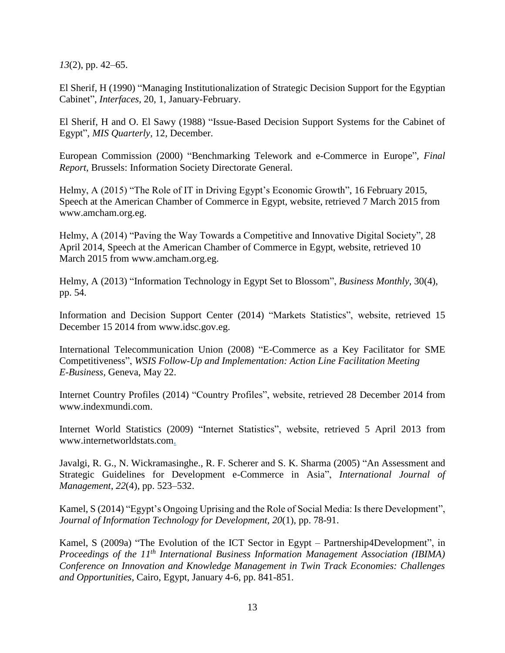*13*(2), pp. 42–65.

El Sherif, H (1990) "Managing Institutionalization of Strategic Decision Support for the Egyptian Cabinet", *Interfaces,* 20, 1, January-February.

El Sherif, H and O. El Sawy (1988) "Issue-Based Decision Support Systems for the Cabinet of Egypt", *MIS Quarterly,* 12, December.

European Commission (2000) "Benchmarking Telework and e-Commerce in Europe", *Final Report*, Brussels: Information Society Directorate General.

Helmy, A (2015) "The Role of IT in Driving Egypt's Economic Growth", 16 February 2015, Speech at the American Chamber of Commerce in Egypt, website, retrieved 7 March 2015 from www.amcham.org.eg.

Helmy, A (2014) "Paving the Way Towards a Competitive and Innovative Digital Society", 28 April 2014, Speech at the American Chamber of Commerce in Egypt, website, retrieved 10 March 2015 from www.amcham.org.eg.

Helmy, A (2013) "Information Technology in Egypt Set to Blossom", *Business Monthly,* 30(4), pp. 54.

Information and Decision Support Center (2014) "Markets Statistics", website, retrieved 15 December 15 2014 from www.idsc.gov.eg.

International Telecommunication Union (2008) "E-Commerce as a Key Facilitator for SME Competitiveness", *WSIS Follow-Up and Implementation: Action Line Facilitation Meeting E-Business,* Geneva, May 22.

Internet Country Profiles (2014) "Country Profiles", website, retrieved 28 December 2014 from www.indexmundi.com.

Internet World Statistics (2009) "Internet Statistics", website, retrieved 5 April 2013 from www.internetworldstats.com.

Javalgi, R. G., N. Wickramasinghe., R. F. Scherer and S. K. Sharma (2005) "An Assessment and Strategic Guidelines for Development e-Commerce in Asia", *International Journal of Management*, *22*(4), pp. 523–532.

Kamel, S (2014) "Egypt's Ongoing Uprising and the Role of Social Media: Is there Development", *Journal of Information Technology for Development, 20*(1), pp. 78-91.

Kamel, S (2009a) "The Evolution of the ICT Sector in Egypt – Partnership4Development", in *Proceedings of the 11th International Business Information Management Association (IBIMA) Conference on Innovation and Knowledge Management in Twin Track Economies: Challenges and Opportunities*, Cairo, Egypt, January 4-6, pp. 841-851.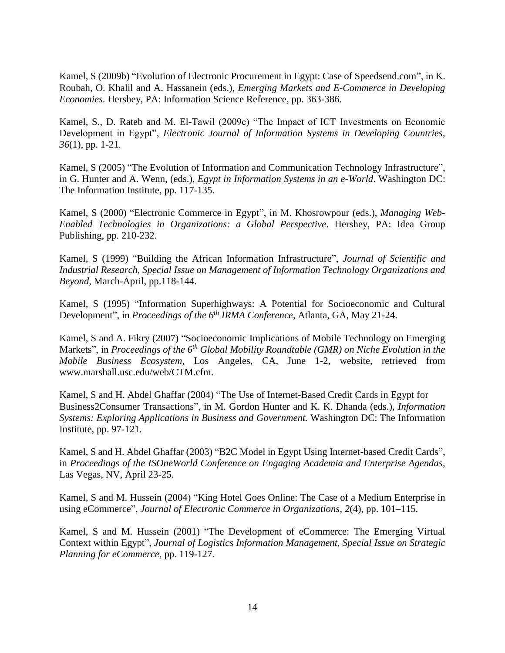Kamel, S (2009b) "Evolution of Electronic Procurement in Egypt: Case of Speedsend.com", in K. Roubah, O. Khalil and A. Hassanein (eds.), *Emerging Markets and E-Commerce in Developing Economies*. Hershey, PA: Information Science Reference, pp. 363-386.

Kamel, S., D. Rateb and M. El-Tawil (2009c) "The Impact of ICT Investments on Economic Development in Egypt", *Electronic Journal of Information Systems in Developing Countries, 36*(1), pp. 1-21.

Kamel, S (2005) "The Evolution of Information and Communication Technology Infrastructure", in G. Hunter and A. Wenn, (eds.), *Egypt in Information Systems in an e-World*. Washington DC: The Information Institute, pp. 117-135.

Kamel, S (2000) "Electronic Commerce in Egypt", in M. Khosrowpour (eds.), *Managing Web-Enabled Technologies in Organizations: a Global Perspective*. Hershey, PA: Idea Group Publishing, pp. 210-232.

Kamel, S (1999) "Building the African Information Infrastructure", *Journal of Scientific and Industrial Research, Special Issue on Management of Information Technology Organizations and Beyond,* March-April, pp.118-144.

Kamel, S (1995) "Information Superhighways: A Potential for Socioeconomic and Cultural Development", in *Proceedings of the 6th IRMA Conference*, Atlanta, GA, May 21-24.

Kamel, S and A. Fikry (2007) "Socioeconomic Implications of Mobile Technology on Emerging Markets", in *Proceedings of the 6th Global Mobility Roundtable (GMR) on Niche Evolution in the Mobile Business Ecosystem*, Los Angeles, CA, June 1-2, website, retrieved from www.marshall.usc.edu/web/CTM.cfm.

Kamel, S and H. Abdel Ghaffar (2004) "The Use of Internet-Based Credit Cards in Egypt for Business2Consumer Transactions", in M. Gordon Hunter and K. K. Dhanda (eds.), *Information Systems: Exploring Applications in Business and Government.* Washington DC: The Information Institute, pp. 97-121.

Kamel, S and H. Abdel Ghaffar (2003) "B2C Model in Egypt Using Internet-based Credit Cards", in *Proceedings of the ISOneWorld Conference on Engaging Academia and Enterprise Agendas*, Las Vegas, NV, April 23-25.

Kamel, S and M. Hussein (2004) "King Hotel Goes Online: The Case of a Medium Enterprise in using eCommerce", *Journal of Electronic Commerce in Organizations*, *2*(4), pp. 101–115.

Kamel, S and M. Hussein (2001) "The Development of eCommerce: The Emerging Virtual Context within Egypt", *Journal of Logistics Information Management, Special Issue on Strategic Planning for eCommerce*, pp. 119-127.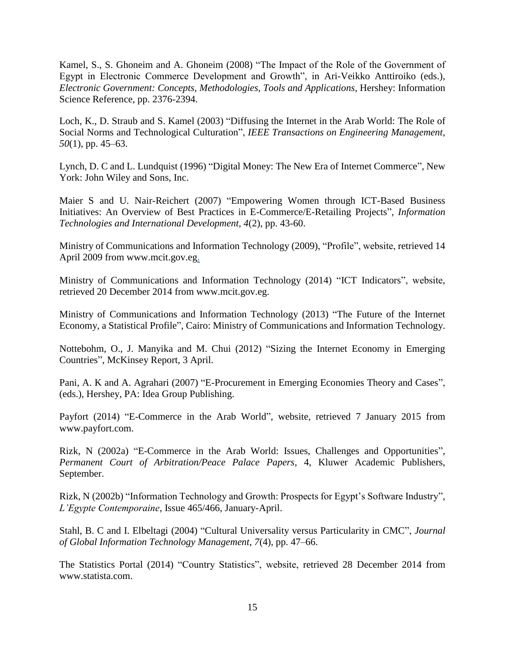Kamel, S., S. Ghoneim and A. Ghoneim (2008) "The Impact of the Role of the Government of Egypt in Electronic Commerce Development and Growth", in Ari-Veikko Anttiroiko (eds.), *Electronic Government: Concepts, Methodologies, Tools and Applications, Hershey: Information* Science Reference, pp. 2376-2394.

Loch, K., D. Straub and S. Kamel (2003) "Diffusing the Internet in the Arab World: The Role of Social Norms and Technological Culturation", *IEEE Transactions on Engineering Management*, *50*(1), pp. 45–63.

Lynch, D. C and L. Lundquist (1996) "Digital Money: The New Era of Internet Commerce", New York: John Wiley and Sons, Inc.

Maier S and U. Nair-Reichert (2007) "Empowering Women through ICT-Based Business Initiatives: An Overview of Best Practices in E-Commerce/E-Retailing Projects", *Information Technologies and International Development, 4*(2), pp. 43-60.

Ministry of Communications and Information Technology (2009), "Profile", website, retrieved 14 April 2009 from www.mcit.gov.eg.

Ministry of Communications and Information Technology (2014) "ICT Indicators", website, retrieved 20 December 2014 from www.mcit.gov.eg.

Ministry of Communications and Information Technology (2013) "The Future of the Internet Economy, a Statistical Profile", Cairo: Ministry of Communications and Information Technology.

Nottebohm, O., J. Manyika and M. Chui (2012) "Sizing the Internet Economy in Emerging Countries", McKinsey Report, 3 April.

Pani, A. K and A. Agrahari (2007) "E-Procurement in Emerging Economies Theory and Cases", (eds.), Hershey, PA: Idea Group Publishing.

Payfort (2014) "E-Commerce in the Arab World", website, retrieved 7 January 2015 from www.payfort.com.

Rizk, N (2002a) "E-Commerce in the Arab World: Issues, Challenges and Opportunities", *Permanent Court of Arbitration/Peace Palace Papers*, 4, Kluwer Academic Publishers, September.

Rizk, N (2002b) "Information Technology and Growth: Prospects for Egypt's Software Industry", *L'Egypte Contemporaine*, Issue 465/466, January-April.

Stahl, B. C and I. Elbeltagi (2004) "Cultural Universality versus Particularity in CMC", *Journal of Global Information Technology Management*, *7*(4), pp. 47–66.

The Statistics Portal (2014) "Country Statistics", website, retrieved 28 December 2014 from www.statista.com.